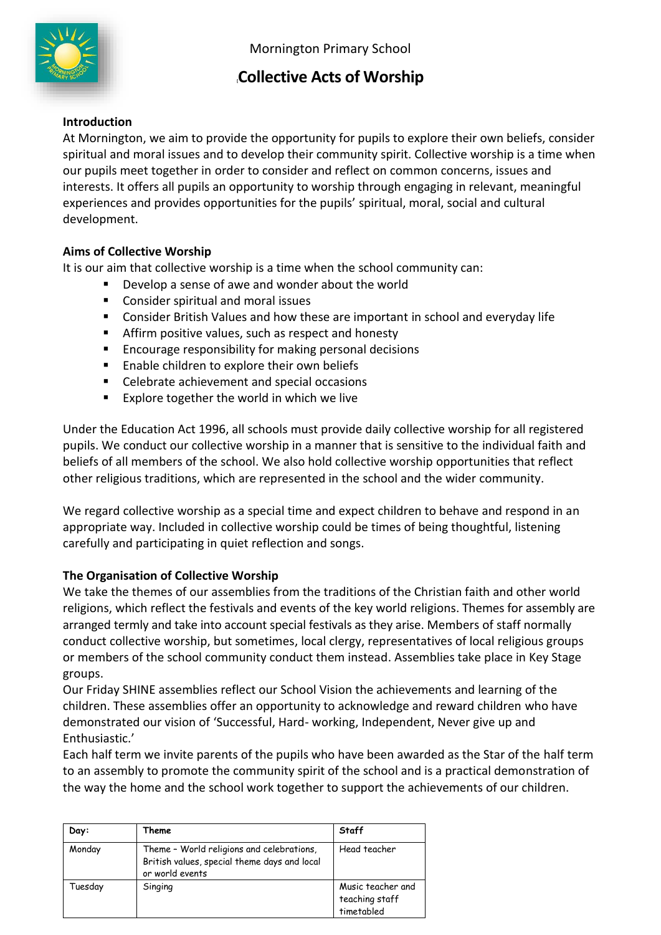

# **[Collective Acts of Worship**

## **Introduction**

At Mornington, we aim to provide the opportunity for pupils to explore their own beliefs, consider spiritual and moral issues and to develop their community spirit. Collective worship is a time when our pupils meet together in order to consider and reflect on common concerns, issues and interests. It offers all pupils an opportunity to worship through engaging in relevant, meaningful experiences and provides opportunities for the pupils' spiritual, moral, social and cultural development.

## **Aims of Collective Worship**

It is our aim that collective worship is a time when the school community can:

- Develop a sense of awe and wonder about the world
- Consider spiritual and moral issues
- Consider British Values and how these are important in school and everyday life
- Affirm positive values, such as respect and honesty
- Encourage responsibility for making personal decisions
- Enable children to explore their own beliefs
- Celebrate achievement and special occasions
- Explore together the world in which we live

Under the Education Act 1996, all schools must provide daily collective worship for all registered pupils. We conduct our collective worship in a manner that is sensitive to the individual faith and beliefs of all members of the school. We also hold collective worship opportunities that reflect other religious traditions, which are represented in the school and the wider community.

We regard collective worship as a special time and expect children to behave and respond in an appropriate way. Included in collective worship could be times of being thoughtful, listening carefully and participating in quiet reflection and songs.

# **The Organisation of Collective Worship**

We take the themes of our assemblies from the traditions of the Christian faith and other world religions, which reflect the festivals and events of the key world religions. Themes for assembly are arranged termly and take into account special festivals as they arise. Members of staff normally conduct collective worship, but sometimes, local clergy, representatives of local religious groups or members of the school community conduct them instead. Assemblies take place in Key Stage groups.

Our Friday SHINE assemblies reflect our School Vision the achievements and learning of the children. These assemblies offer an opportunity to acknowledge and reward children who have demonstrated our vision of 'Successful, Hard- working, Independent, Never give up and Enthusiastic.'

Each half term we invite parents of the pupils who have been awarded as the Star of the half term to an assembly to promote the community spirit of the school and is a practical demonstration of the way the home and the school work together to support the achievements of our children.

| Day:    | Theme                                                                                                        | Staff                                             |
|---------|--------------------------------------------------------------------------------------------------------------|---------------------------------------------------|
| Monday  | Theme - World religions and celebrations,<br>British values, special theme days and local<br>or world events | Head teacher                                      |
| Tuesday | Singing                                                                                                      | Music teacher and<br>teaching staff<br>timetabled |